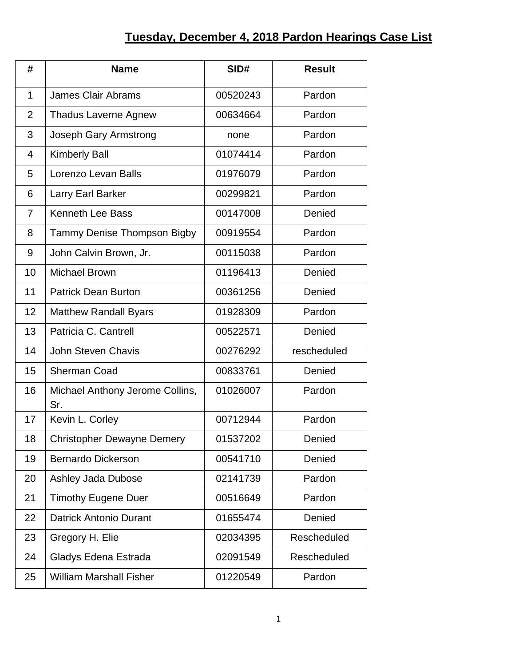## **Tuesday, December 4, 2018 Pardon Hearings Case List**

| #              | <b>Name</b>                            | SID#     | <b>Result</b> |
|----------------|----------------------------------------|----------|---------------|
| 1              | <b>James Clair Abrams</b>              | 00520243 | Pardon        |
| $\overline{2}$ | <b>Thadus Laverne Agnew</b>            | 00634664 | Pardon        |
| 3              | Joseph Gary Armstrong                  | none     | Pardon        |
| $\overline{4}$ | <b>Kimberly Ball</b>                   | 01074414 | Pardon        |
| 5              | Lorenzo Levan Balls                    | 01976079 | Pardon        |
| 6              | Larry Earl Barker                      | 00299821 | Pardon        |
| $\overline{7}$ | <b>Kenneth Lee Bass</b>                | 00147008 | Denied        |
| 8              | Tammy Denise Thompson Bigby            | 00919554 | Pardon        |
| 9              | John Calvin Brown, Jr.                 | 00115038 | Pardon        |
| 10             | <b>Michael Brown</b>                   | 01196413 | Denied        |
| 11             | <b>Patrick Dean Burton</b>             | 00361256 | Denied        |
| 12             | <b>Matthew Randall Byars</b>           | 01928309 | Pardon        |
| 13             | Patricia C. Cantrell                   | 00522571 | Denied        |
| 14             | <b>John Steven Chavis</b>              | 00276292 | rescheduled   |
| 15             | <b>Sherman Coad</b>                    | 00833761 | Denied        |
| 16             | Michael Anthony Jerome Collins,<br>Sr. | 01026007 | Pardon        |
| 17             | Kevin L. Corley                        | 00712944 | Pardon        |
| 18             | <b>Christopher Dewayne Demery</b>      | 01537202 | Denied        |
| 19             | <b>Bernardo Dickerson</b>              | 00541710 | Denied        |
| 20             | <b>Ashley Jada Dubose</b>              | 02141739 | Pardon        |
| 21             | <b>Timothy Eugene Duer</b>             | 00516649 | Pardon        |
| 22             | <b>Datrick Antonio Durant</b>          | 01655474 | Denied        |
| 23             | Gregory H. Elie                        | 02034395 | Rescheduled   |
| 24             | Gladys Edena Estrada                   | 02091549 | Rescheduled   |
| 25             | <b>William Marshall Fisher</b>         | 01220549 | Pardon        |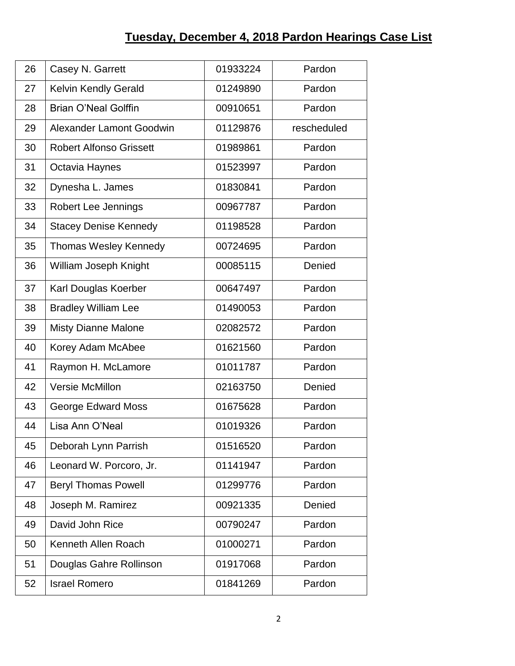| 26 | Casey N. Garrett                | 01933224 | Pardon      |
|----|---------------------------------|----------|-------------|
| 27 | Kelvin Kendly Gerald            | 01249890 | Pardon      |
| 28 | <b>Brian O'Neal Golffin</b>     | 00910651 | Pardon      |
| 29 | <b>Alexander Lamont Goodwin</b> | 01129876 | rescheduled |
| 30 | <b>Robert Alfonso Grissett</b>  | 01989861 | Pardon      |
|    |                                 |          | Pardon      |
| 31 | Octavia Haynes                  | 01523997 |             |
| 32 | Dynesha L. James                | 01830841 | Pardon      |
| 33 | Robert Lee Jennings             | 00967787 | Pardon      |
| 34 | <b>Stacey Denise Kennedy</b>    | 01198528 | Pardon      |
| 35 | <b>Thomas Wesley Kennedy</b>    | 00724695 | Pardon      |
| 36 | William Joseph Knight           | 00085115 | Denied      |
| 37 | Karl Douglas Koerber            | 00647497 | Pardon      |
| 38 | <b>Bradley William Lee</b>      | 01490053 | Pardon      |
| 39 | <b>Misty Dianne Malone</b>      | 02082572 | Pardon      |
| 40 | Korey Adam McAbee               | 01621560 | Pardon      |
| 41 | Raymon H. McLamore              | 01011787 | Pardon      |
| 42 | <b>Versie McMillon</b>          | 02163750 | Denied      |
| 43 | George Edward Moss              | 01675628 | Pardon      |
| 44 | Lisa Ann O'Neal                 | 01019326 | Pardon      |
| 45 | Deborah Lynn Parrish            | 01516520 | Pardon      |
| 46 | Leonard W. Porcoro, Jr.         | 01141947 | Pardon      |
| 47 | <b>Beryl Thomas Powell</b>      | 01299776 | Pardon      |
| 48 | Joseph M. Ramirez               | 00921335 | Denied      |
| 49 | David John Rice                 | 00790247 | Pardon      |
| 50 | Kenneth Allen Roach             | 01000271 | Pardon      |
| 51 | Douglas Gahre Rollinson         | 01917068 | Pardon      |
| 52 | <b>Israel Romero</b>            | 01841269 | Pardon      |